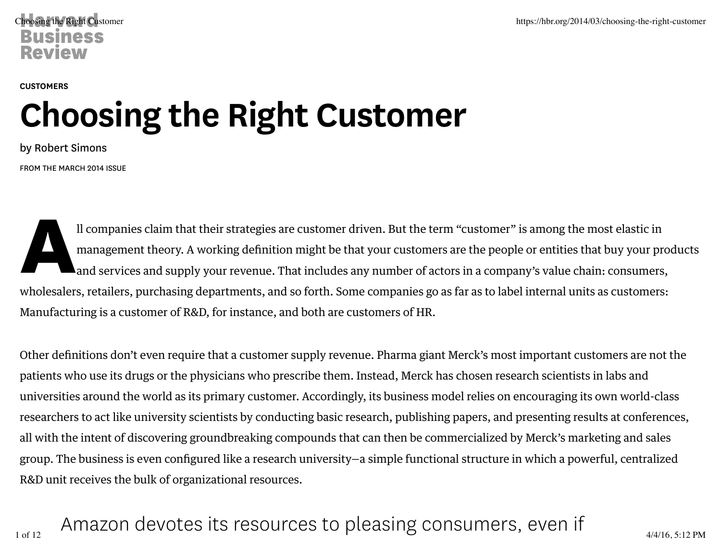# **Rusiness** eview

# **CUSTOMERS** Choosing the Right Customer

by Robert Simons FROM THE MARCH 2014 ISSUE

Il companies claim that their strategies are customer driven. But the term "customer" is among the most elastic in<br>management theory. A working definition might be that your customers are the people or entities that buy yo management theory. A working definition might be that your customers are the people or entities that buy your products and services and supply your revenue. That includes any number of actors in a company's value chain: consumers, wholesalers, retailers, purchasing departments, and so forth. Some companies go as far as to label internal units as customers: Manufacturing is a customer of R&D, for instance, and both are customers of HR.

Other definitions don't even require that a customer supply revenue. Pharma giant Merck's most important customers are not the patients who use its drugs or the physicians who prescribe them. Instead, Merck has chosen research scientists in labs and universities around the world as its primary customer. Accordingly, its business model relies on encouraging its own world-class researchers to act like university scientists by conducting basic research, publishing papers, and presenting results at conferences, all with the intent of discovering groundbreaking compounds that can then be commercialized by Merck's marketing and sales group. The business is even configured like a research university—a simple functional structure in which a powerful, centralized R&D unit receives the bulk of organizational resources.

# $A$ mazon devotes its resources to pleasing consumers, even if  $A$ <sup>4/4/16, 5:12 PM</sup>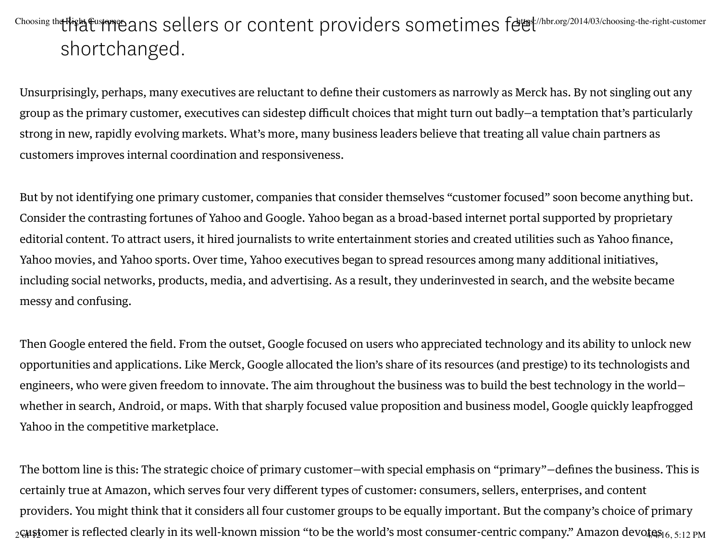## Choosing the Hight Euster read Content providers sometimes fetet<sup>//hbr.org/2014/03/choosing-the-right-customer</sup> shortchanged.

Unsurprisingly, perhaps, many executives are reluctant to define their customers as narrowly as Merck has. By not singling out any group as the primary customer, executives can sidestep difficult choices that might turn out badly—a temptation that's particularly strong in new, rapidly evolving markets. What's more, many business leaders believe that treating all value chain partners as customers improves internal coordination and responsiveness.

But by not identifying one primary customer, companies that consider themselves "customer focused" soon become anything but. Consider the contrasting fortunes of Yahoo and Google. Yahoo began as a broad-based internet portal supported by proprietary editorial content. To attract users, it hired journalists to write entertainment stories and created utilities such as Yahoo finance, Yahoo movies, and Yahoo sports. Over time, Yahoo executives began to spread resources among many additional initiatives, including social networks, products, media, and advertising. As a result, they underinvested in search, and the website became messy and confusing.

Then Google entered the field. From the outset, Google focused on users who appreciated technology and its ability to unlock new opportunities and applications. Like Merck, Google allocated the lion's share of its resources (and prestige) to its technologists and engineers, who were given freedom to innovate. The aim throughout the business was to build the best technology in the world whether in search, Android, or maps. With that sharply focused value proposition and business model, Google quickly leapfrogged Yahoo in the competitive marketplace.

The bottom line is this: The strategic choice of primary customer—with special emphasis on "primary"—defines the business. This is certainly true at Amazon, which serves four very different types of customer: consumers, sellers, enterprises, and content providers. You might think that it considers all four customer groups to be equally important. But the company's choice of primary  $_2$ cµstomer is reflected clearly in its well-known mission "to be the world's most consumer-centric company." Amazon devote ${\tt s}_1$ 6, 5:12 PM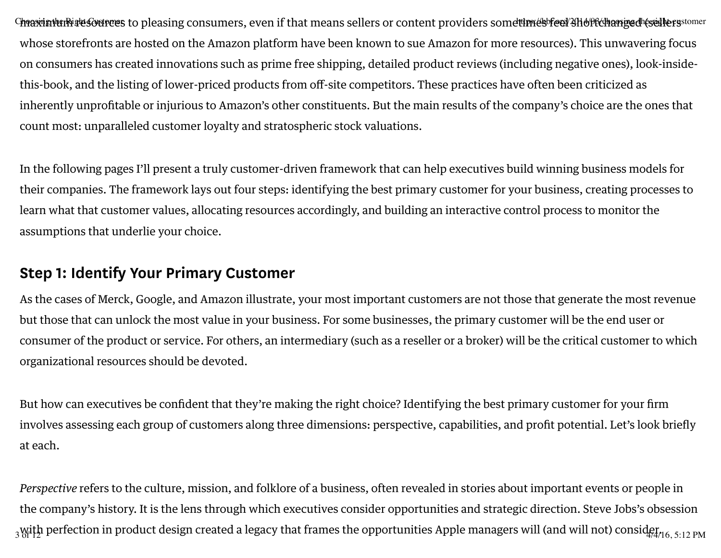Choaximum resources to pleasing consumers, even if that means sellers or content providers somettimes feel/3h0ftchanged (sellers some whose storefronts are hosted on the Amazon platform have been known to sue Amazon for more resources). This unwavering focus on consumers has created innovations such as prime free shipping, detailed product reviews (including negative ones), look-insidethis-book, and the listing of lower-priced products from off-site competitors. These practices have often been criticized as inherently unprofitable or injurious to Amazon's other constituents. But the main results of the company's choice are the ones that count most: unparalleled customer loyalty and stratospheric stock valuations.

In the following pages I'll present a truly customer-driven framework that can help executives build winning business models for their companies. The framework lays out four steps: identifying the best primary customer for your business, creating processes to learn what that customer values, allocating resources accordingly, and building an interactive control process to monitor the assumptions that underlie your choice.

## Step 1: Identify Your Primary Customer

As the cases of Merck, Google, and Amazon illustrate, your most important customers are not those that generate the most revenue but those that can unlock the most value in your business. For some businesses, the primary customer will be the end user or consumer of the product or service. For others, an intermediary (such as a reseller or a broker) will be the critical customer to which organizational resources should be devoted.

But how can executives be confident that they're making the right choice? Identifying the best primary customer for your firm involves assessing each group of customers along three dimensions: perspective, capabilities, and profit potential. Let's look briefly at each.

*Perspective* refers to the culture, mission, and folklore of a business, often revealed in stories about important events or people in the company's history. It is the lens through which executives consider opportunities and strategic direction. Steve Jobs's obsession  $_3$ with perfection in product design created a legacy that frames the opportunities Apple managers will (and will not) consid $\mu_{4/16,\,5:12\,\mathrm{PM}}$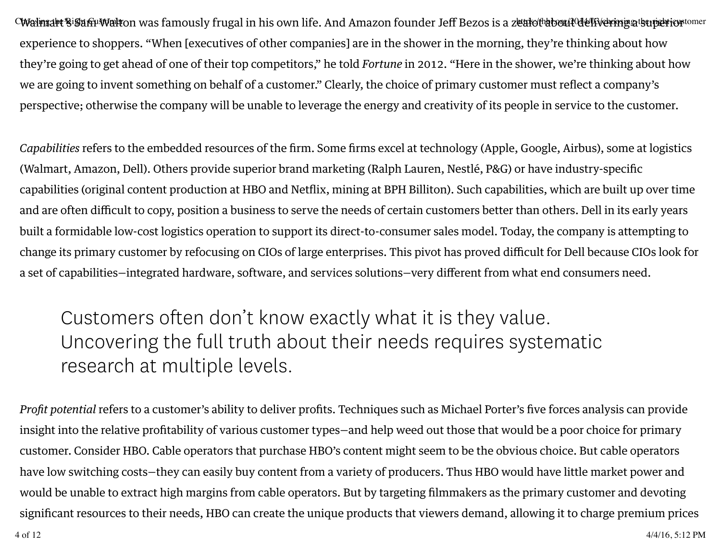CWalmaht%StafilWalton was famously frugal in his own life. And Amazon founder Jeff Bezos is a zealot about delivering a superior <sup>tomer</sup> experience to shoppers. "When [executives of other companies] are in the shower in the morning, they're thinking about how they're going to get ahead of one of their top competitors," he told *Fortune* in 2012. "Here in the shower, we're thinking about how we are going to invent something on behalf of a customer." Clearly, the choice of primary customer must reflect a company's perspective; otherwise the company will be unable to leverage the energy and creativity of its people in service to the customer.

*Capabilities* refers to the embedded resources of the firm. Some firms excel at technology (Apple, Google, Airbus), some at logistics (Walmart, Amazon, Dell). Others provide superior brand marketing (Ralph Lauren, Nestlé, P&G) or have industry-specific capabilities (original content production at HBO and Netflix, mining at BPH Billiton). Such capabilities, which are built up over time and are often difficult to copy, position a business to serve the needs of certain customers better than others. Dell in its early years built a formidable low-cost logistics operation to support its direct-to-consumer sales model. Today, the company is attempting to change its primary customer by refocusing on CIOs of large enterprises. This pivot has proved difficult for Dell because CIOs look for a set of capabilities—integrated hardware, software, and services solutions—very different from what end consumers need.

Customers often don't know exactly what it is they value. Uncovering the full truth about their needs requires systematic research at multiple levels.

*Pro*fi*t potential* refers to a customer's ability to deliver profits. Techniques such as Michael Porter's five forces analysis can provide insight into the relative profitability of various customer types—and help weed out those that would be a poor choice for primary customer. Consider HBO. Cable operators that purchase HBO's content might seem to be the obvious choice. But cable operators have low switching costs—they can easily buy content from a variety of producers. Thus HBO would have little market power and would be unable to extract high margins from cable operators. But by targeting filmmakers as the primary customer and devoting significant resources to their needs, HBO can create the unique products that viewers demand, allowing it to charge premium prices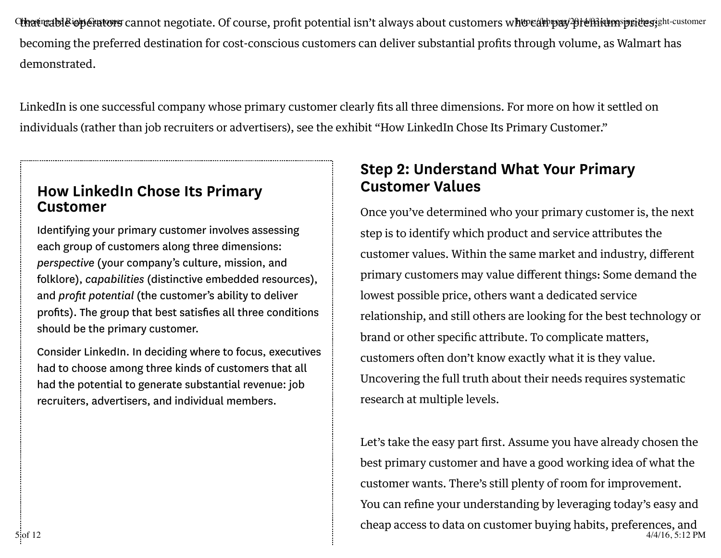Cthat reable operators cannot negotiate. Of course, profit potential isn't always about customers who carb pay premium prices; ght-customer becoming the preferred destination for cost-conscious customers can deliver substantial profits through volume, as Walmart has demonstrated.

LinkedIn is one successful company whose primary customer clearly fits all three dimensions. For more on how it settled on individuals (rather than job recruiters or advertisers), see the exhibit "How LinkedIn Chose Its Primary Customer."

### How LinkedIn Chose Its Primary Customer

Identifying your primary customer involves assessing each group of customers along three dimensions: perspective (your company's culture, mission, and folklore), capabilities (distinctive embedded resources), and profit potential (the customer's ability to deliver profits). The group that best satisfies all three conditions should be the primary customer.

Consider LinkedIn. In deciding where to focus, executives had to choose among three kinds of customers that all had the potential to generate substantial revenue: job recruiters, advertisers, and individual members.

## Step 2: Understand What Your Primary Customer Values

Once you've determined who your primary customer is, the next step is to identify which product and service attributes the customer values. Within the same market and industry, different primary customers may value different things: Some demand the lowest possible price, others want a dedicated service relationship, and still others are looking for the best technology or brand or other specific attribute. To complicate matters, customers often don't know exactly what it is they value. Uncovering the full truth about their needs requires systematic research at multiple levels.

Let's take the easy part first. Assume you have already chosen the best primary customer and have a good working idea of what the customer wants. There's still plenty of room for improvement. You can refine your understanding by leveraging today's easy and cheap access to data on customer buying habits, preferences, and<br> $4/4/16$ , 5:12 PM  $5\frac{1}{2}$  4/4/16, 5:12 PM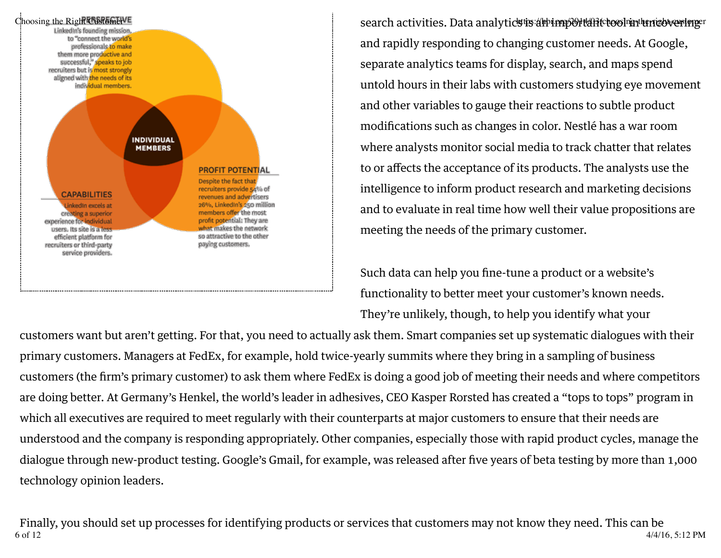

Choosing the Right Customer **Example 2014** Search activities. Data analytics and the right chool in the right-customer https://web.com/2014/2014/2014/2014 and rapidly responding to changing customer needs. At Google, separate analytics teams for display, search, and maps spend untold hours in their labs with customers studying eye movement and other variables to gauge their reactions to subtle product modifications such as changes in color. Nestlé has a war room where analysts monitor social media to track chatter that relates to or affects the acceptance of its products. The analysts use the intelligence to inform product research and marketing decisions and to evaluate in real time how well their value propositions are meeting the needs of the primary customer.

> Such data can help you fine-tune a product or a website's functionality to better meet your customer's known needs. They're unlikely, though, to help you identify what your

customers want but aren't getting. For that, you need to actually ask them. Smart companies set up systematic dialogues with their primary customers. Managers at FedEx, for example, hold twice-yearly summits where they bring in a sampling of business customers (the firm's primary customer) to ask them where FedEx is doing a good job of meeting their needs and where competitors are doing better. At Germany's Henkel, the world's leader in adhesives, CEO Kasper Rorsted has created a "tops to tops" program in which all executives are required to meet regularly with their counterparts at major customers to ensure that their needs are understood and the company is responding appropriately. Other companies, especially those with rapid product cycles, manage the dialogue through new-product testing. Google's Gmail, for example, was released after five years of beta testing by more than 1,000 technology opinion leaders.

Finally, you should set up processes for identifying products or services that customers may not know they need. This can be 6 of 12 4/4/16, 5:12 PM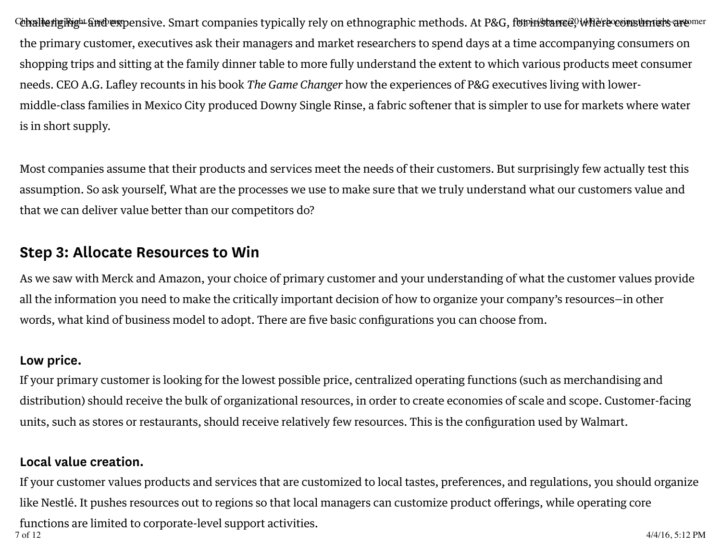<sup>C</sup>eballenginght Grobexpensive. Smart companies typically rely on ethnographic methods. At P&G, for instance, Where consumers are mer the primary customer, executives ask their managers and market researchers to spend days at a time accompanying consumers on shopping trips and sitting at the family dinner table to more fully understand the extent to which various products meet consumer needs. CEO A.G. Lafley recounts in his book *The Game Changer* how the experiences of P&G executives living with lowermiddle-class families in Mexico City produced Downy Single Rinse, a fabric softener that is simpler to use for markets where water is in short supply.

Most companies assume that their products and services meet the needs of their customers. But surprisingly few actually test this assumption. So ask yourself, What are the processes we use to make sure that we truly understand what our customers value and that we can deliver value better than our competitors do?

## Step 3: Allocate Resources to Win

As we saw with Merck and Amazon, your choice of primary customer and your understanding of what the customer values provide all the information you need to make the critically important decision of how to organize your company's resources—in other words, what kind of business model to adopt. There are five basic configurations you can choose from.

#### Low price.

If your primary customer is looking for the lowest possible price, centralized operating functions (such as merchandising and distribution) should receive the bulk of organizational resources, in order to create economies of scale and scope. Customer-facing units, such as stores or restaurants, should receive relatively few resources. This is the configuration used by Walmart.

#### Local value creation.

If your customer values products and services that are customized to local tastes, preferences, and regulations, you should organize like Nestlé. It pushes resources out to regions so that local managers can customize product offerings, while operating core functions are limited to corporate-level support activities.<br> $7 \text{ of } 12$ 7 of 12 4/4/16, 5:12 PM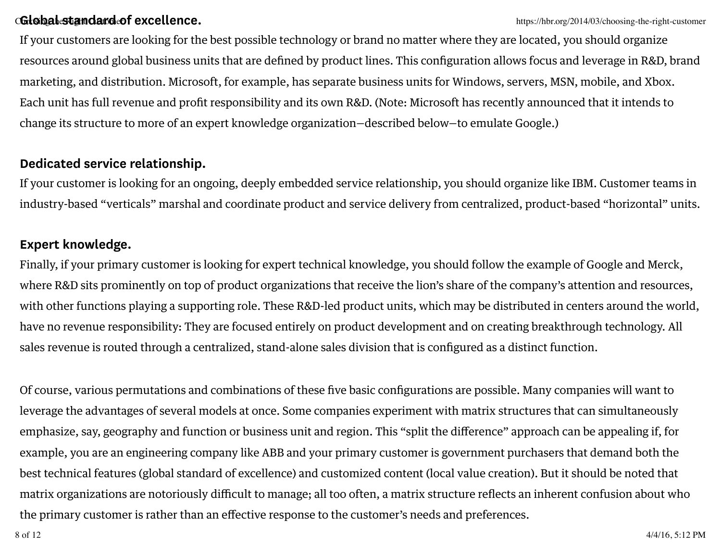#### Global standard of excellence.

If your customers are looking for the best possible technology or brand no matter where they are located, you should organize resources around global business units that are defined by product lines. This configuration allows focus and leverage in R&D, brand marketing, and distribution. Microsoft, for example, has separate business units for Windows, servers, MSN, mobile, and Xbox. Each unit has full revenue and profit responsibility and its own R&D. (Note: Microsoft has recently announced that it intends to change its structure to more of an expert knowledge organization—described below—to emulate Google.)

#### Dedicated service relationship.

If your customer is looking for an ongoing, deeply embedded service relationship, you should organize like IBM. Customer teams in industry-based "verticals" marshal and coordinate product and service delivery from centralized, product-based "horizontal" units.

#### Expert knowledge.

Finally, if your primary customer is looking for expert technical knowledge, you should follow the example of Google and Merck, where R&D sits prominently on top of product organizations that receive the lion's share of the company's attention and resources, with other functions playing a supporting role. These R&D-led product units, which may be distributed in centers around the world, have no revenue responsibility: They are focused entirely on product development and on creating breakthrough technology. All sales revenue is routed through a centralized, stand-alone sales division that is configured as a distinct function.

Of course, various permutations and combinations of these five basic configurations are possible. Many companies will want to leverage the advantages of several models at once. Some companies experiment with matrix structures that can simultaneously emphasize, say, geography and function or business unit and region. This "split the difference" approach can be appealing if, for example, you are an engineering company like ABB and your primary customer is government purchasers that demand both the best technical features (global standard of excellence) and customized content (local value creation). But it should be noted that matrix organizations are notoriously difficult to manage; all too often, a matrix structure reflects an inherent confusion about who the primary customer is rather than an effective response to the customer's needs and preferences.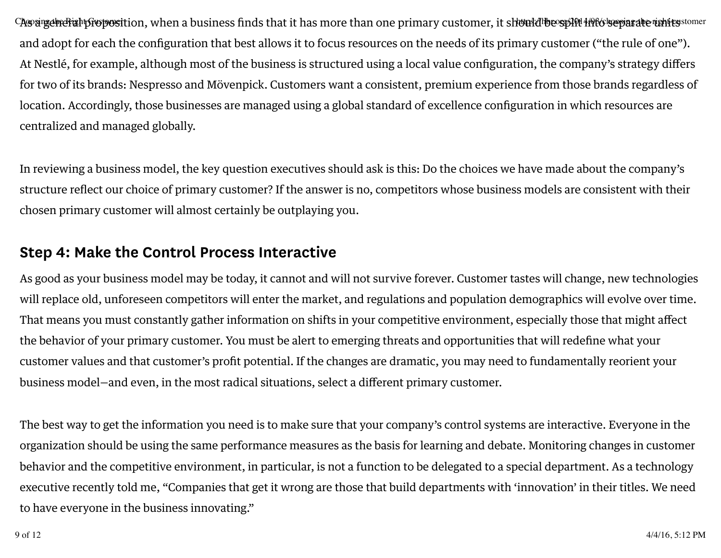CAsvargemetrahproposition, when a business finds that it has more than one primary customer, it should be split into separate unity stomer and adopt for each the configuration that best allows it to focus resources on the needs of its primary customer ("the rule of one"). At Nestlé, for example, although most of the business is structured using a local value configuration, the company's strategy differs for two of its brands: Nespresso and Mövenpick. Customers want a consistent, premium experience from those brands regardless of location. Accordingly, those businesses are managed using a global standard of excellence configuration in which resources are centralized and managed globally.

In reviewing a business model, the key question executives should ask is this: Do the choices we have made about the company's structure reflect our choice of primary customer? If the answer is no, competitors whose business models are consistent with their chosen primary customer will almost certainly be outplaying you.

## Step 4: Make the Control Process Interactive

As good as your business model may be today, it cannot and will not survive forever. Customer tastes will change, new technologies will replace old, unforeseen competitors will enter the market, and regulations and population demographics will evolve over time. That means you must constantly gather information on shifts in your competitive environment, especially those that might affect the behavior of your primary customer. You must be alert to emerging threats and opportunities that will redefine what your customer values and that customer's profit potential. If the changes are dramatic, you may need to fundamentally reorient your business model—and even, in the most radical situations, select a different primary customer.

The best way to get the information you need is to make sure that your company's control systems are interactive. Everyone in the organization should be using the same performance measures as the basis for learning and debate. Monitoring changes in customer behavior and the competitive environment, in particular, is not a function to be delegated to a special department. As a technology executive recently told me, "Companies that get it wrong are those that build departments with 'innovation' in their titles. We need to have everyone in the business innovating."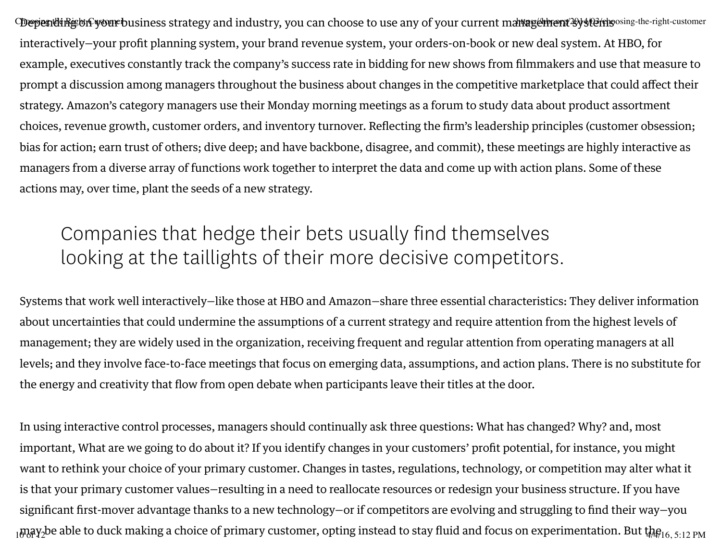CDependings on your business strategy and industry, you can choose to use any of your current managenment by Ken posing-the-right-customer interactively—your profit planning system, your brand revenue system, your orders-on-book or new deal system. At HBO, for example, executives constantly track the company's success rate in bidding for new shows from filmmakers and use that measure to prompt a discussion among managers throughout the business about changes in the competitive marketplace that could affect their strategy. Amazon's category managers use their Monday morning meetings as a forum to study data about product assortment choices, revenue growth, customer orders, and inventory turnover. Reflecting the firm's leadership principles (customer obsession; bias for action; earn trust of others; dive deep; and have backbone, disagree, and commit), these meetings are highly interactive as managers from a diverse array of functions work together to interpret the data and come up with action plans. Some of these actions may, over time, plant the seeds of a new strategy.

## Companies that hedge their bets usually find themselves looking at the taillights of their more decisive competitors.

Systems that work well interactively—like those at HBO and Amazon—share three essential characteristics: They deliver information about uncertainties that could undermine the assumptions of a current strategy and require attention from the highest levels of management; they are widely used in the organization, receiving frequent and regular attention from operating managers at all levels; and they involve face-to-face meetings that focus on emerging data, assumptions, and action plans. There is no substitute for the energy and creativity that flow from open debate when participants leave their titles at the door.

In using interactive control processes, managers should continually ask three questions: What has changed? Why? and, most important, What are we going to do about it? If you identify changes in your customers' profit potential, for instance, you might want to rethink your choice of your primary customer. Changes in tastes, regulations, technology, or competition may alter what it is that your primary customer values—resulting in a need to reallocate resources or redesign your business structure. If you have significant first-mover advantage thanks to a new technology—or if competitors are evolving and struggling to find their way—you  $_1$ may $_2$ be able to duck making a choice of primary customer, opting instead to stay fluid and focus on experimentation. But the  $_{16,\,5:12\,\mathrm{PM}}$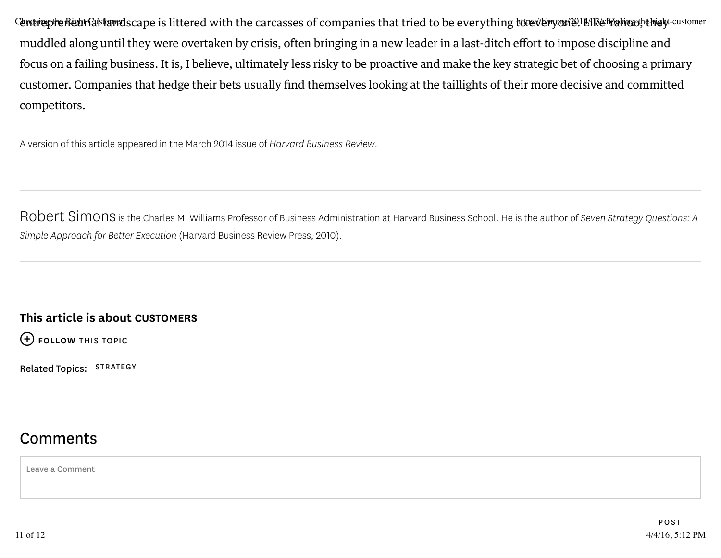Centrepte Reurfal landscape is littered with the carcasses of companies that tried to be everything to rever and  $\Omega$  Like Mahoo, they-customer muddled along until they were overtaken by crisis, often bringing in a new leader in a last-ditch effort to impose discipline and focus on a failing business. It is, I believe, ultimately less risky to be proactive and make the key strategic bet of choosing a primary customer. Companies that hedge their bets usually find themselves looking at the taillights of their more decisive and committed competitors.

A version of this article appeared in the March 2014 issue of Harvard Business Review.

Robert Simons is the Charles M. Williams Professor of Business Administration at Harvard Business School. He is the author of Seven Strategy Questions: A Simple Approach for Better Execution (Harvard Business Review Press, 2010).

#### This article is about CUSTOMERS

FOLLOW THIS TOPIC

Related Topics: STRATEGY

## Comments

Leave a Comment